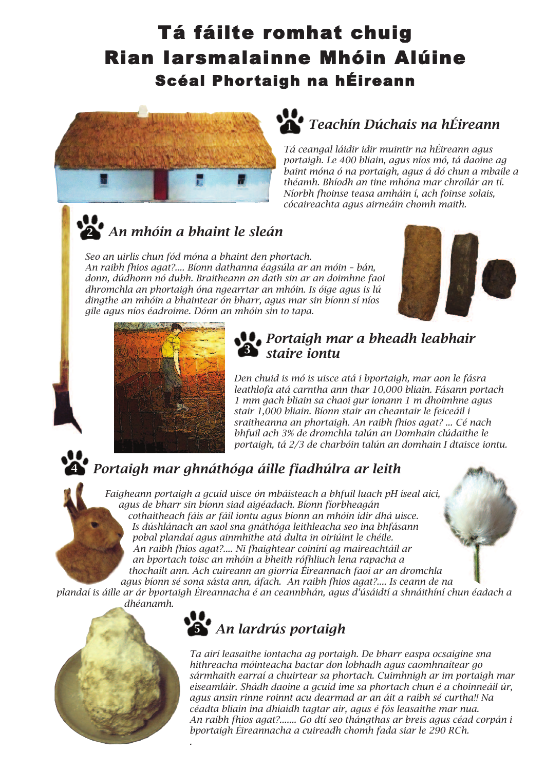# Tá fáilte romhat chuig Rian Iarsmalainne Mhóin Alúine Scéal Phortaigh na hÉireann



### *Teachín Dúchais na hÉireann* **1**

*Tá ceangal láidir idir muintir na hÉireann agus portaigh. Le 400 bliain, agus níos mó, tá daoine ag baint móna ó na portaigh, agus á dó chun a mbaile a théamh. Bhíodh an tine mhóna mar chroílár an tí. Níorbh fhoinse teasa amháin í, ach foinse solais, cócaireachta agus airneáin chomh maith.*

### *An mhóin a bhaint le sleán* **2**

*Seo an uirlis chun fód móna a bhaint den phortach. An raibh fhios agat?.... Bíonn dathanna éagsúla ar an móin – bán, donn, dúdhonn nó dubh. Braitheann an dath sin ar an doimhne faoi dhromchla an phortaigh óna ngearrtar an mhóin. Is óige agus is lú dingthe an mhóin a bhaintear ón bharr, agus mar sin bíonn sí níos gile agus níos éadroime. Dónn an mhóin sin to tapa.*





## *Portaigh mar a bheadh leabhair staire iontu* **3**

*Den chuid is mó is uisce atá i bportaigh, mar aon le fásra leathlofa atá carntha ann thar 10,000 bliain. Fásann portach 1 mm gach bliain sa chaoi gur ionann 1 m dhoimhne agus stair 1,000 bliain. Bíonn stair an cheantair le feiceáil i sraitheanna an phortaigh. An raibh fhios agat? ... Cé nach bhfuil ach 3% de dromchla talún an Domhain clúdaithe le portaigh, tá 2/3 de charbóin talún an domhain I dtaisce iontu.*

## *Portaigh mar ghnáthóga áille fiadhúlra ar leith*

*Faigheann portaigh a gcuid uisce ón mbáisteach a bhfuil luach pH íseal aici, agus de bharr sin bíonn siad aigéadach. Bíonn fíorbheagán cothaitheach fáis ar fáil iontu agus bíonn an mhóin idir dhá uisce. Is dúshlánach an saol sna gnáthóga leithleacha seo ina bhfásann pobal plandaí agus ainmhithe atá dulta in oiriúint le chéile. An raibh fhios agat?.... Ni fhaightear coiníní ag maireachtáil ar an bportach toisc an mhóin a bheith rófhliuch lena rapacha a thochailt ann. Ach cuireann an giorria Éireannach faoi ar an dromchla*

*agus bíonn sé sona sásta ann, áfach. An raibh fhios agat?.... Is ceann de na plandaí is áille ar ár bportaigh Éireannacha é an ceannbhán, agus d'úsáidtí a shnáithíní chun éadach a dhéanamh.*



**4**

*.*

## *An lardrús portaigh* **5**

*Ta airí leasaithe iontacha ag portaigh. De bharr easpa ocsaigine sna hithreacha móinteacha bactar don lobhadh agus caomhnaítear go sármhaith earraí a chuirtear sa phortach. Cuimhnigh ar im portaigh mar eiseamláir. Shádh daoine a gcuid ime sa phortach chun é a choinneáil úr, agus ansin rinne roinnt acu dearmad ar an áit a raibh sé curtha!! Na céadta bliain ina dhiaidh tagtar air, agus é fós leasaithe mar nua. An raibh fhios agat?....... Go dtí seo thángthas ar breis agus céad corpán i bportaigh Éireannacha a cuireadh chomh fada siar le 290 RCh.*